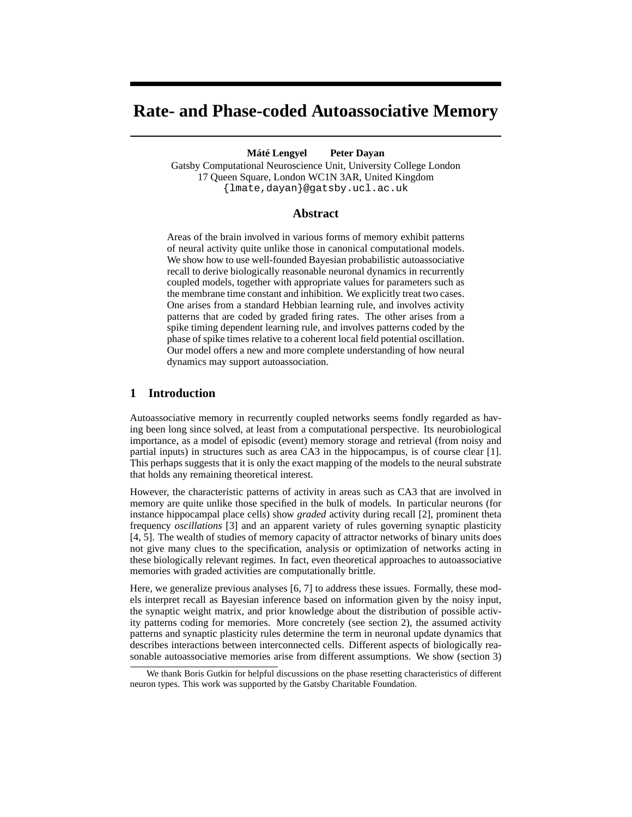# **Rate- and Phase-coded Autoassociative Memory**

#### **Máté Lengyel Peter Dayan**

Gatsby Computational Neuroscience Unit, University College London 17 Queen Square, London WC1N 3AR, United Kingdom {lmate,dayan}@gatsby.ucl.ac.uk

### **Abstract**

Areas of the brain involved in various forms of memory exhibit patterns of neural activity quite unlike those in canonical computational models. We show how to use well-founded Bayesian probabilistic autoassociative recall to derive biologically reasonable neuronal dynamics in recurrently coupled models, together with appropriate values for parameters such as the membrane time constant and inhibition. We explicitly treat two cases. One arises from a standard Hebbian learning rule, and involves activity patterns that are coded by graded firing rates. The other arises from a spike timing dependent learning rule, and involves patterns coded by the phase of spike times relative to a coherent local field potential oscillation. Our model offers a new and more complete understanding of how neural dynamics may support autoassociation.

# **1 Introduction**

Autoassociative memory in recurrently coupled networks seems fondly regarded as having been long since solved, at least from a computational perspective. Its neurobiological importance, as a model of episodic (event) memory storage and retrieval (from noisy and partial inputs) in structures such as area CA3 in the hippocampus, is of course clear [1]. This perhaps suggests that it is only the exact mapping of the models to the neural substrate that holds any remaining theoretical interest.

However, the characteristic patterns of activity in areas such as CA3 that are involved in memory are quite unlike those specified in the bulk of models. In particular neurons (for instance hippocampal place cells) show *graded* activity during recall [2], prominent theta frequency *oscillations* [3] and an apparent variety of rules governing synaptic plasticity [4, 5]. The wealth of studies of memory capacity of attractor networks of binary units does not give many clues to the specification, analysis or optimization of networks acting in these biologically relevant regimes. In fact, even theoretical approaches to autoassociative memories with graded activities are computationally brittle.

Here, we generalize previous analyses [6, 7] to address these issues. Formally, these models interpret recall as Bayesian inference based on information given by the noisy input, the synaptic weight matrix, and prior knowledge about the distribution of possible activity patterns coding for memories. More concretely (see section 2), the assumed activity patterns and synaptic plasticity rules determine the term in neuronal update dynamics that describes interactions between interconnected cells. Different aspects of biologically reasonable autoassociative memories arise from different assumptions. We show (section 3)

We thank Boris Gutkin for helpful discussions on the phase resetting characteristics of different neuron types. This work was supported by the Gatsby Charitable Foundation.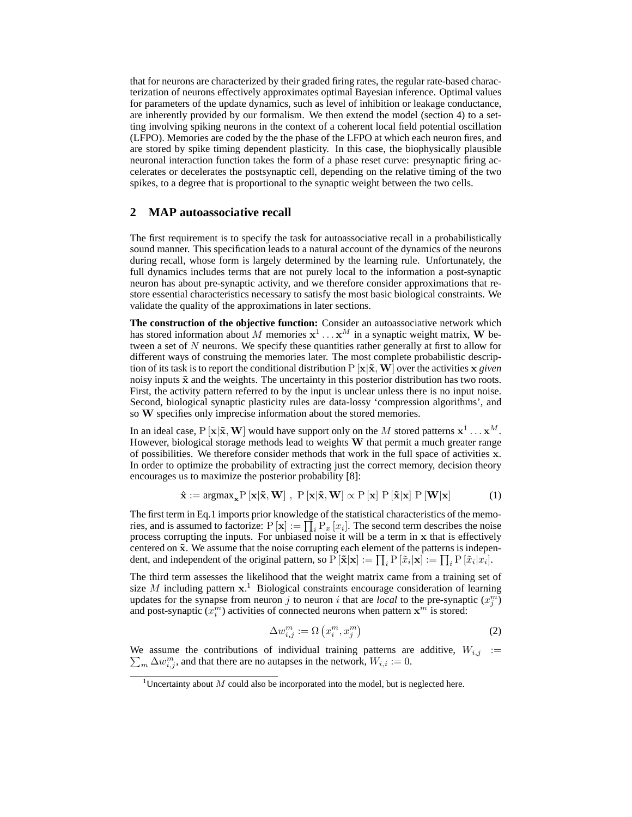that for neurons are characterized by their graded firing rates, the regular rate-based characterization of neurons effectively approximates optimal Bayesian inference. Optimal values for parameters of the update dynamics, such as level of inhibition or leakage conductance, are inherently provided by our formalism. We then extend the model (section 4) to a setting involving spiking neurons in the context of a coherent local field potential oscillation (LFPO). Memories are coded by the the phase of the LFPO at which each neuron fires, and are stored by spike timing dependent plasticity. In this case, the biophysically plausible neuronal interaction function takes the form of a phase reset curve: presynaptic firing accelerates or decelerates the postsynaptic cell, depending on the relative timing of the two spikes, to a degree that is proportional to the synaptic weight between the two cells.

#### **2 MAP autoassociative recall**

The first requirement is to specify the task for autoassociative recall in a probabilistically sound manner. This specification leads to a natural account of the dynamics of the neurons during recall, whose form is largely determined by the learning rule. Unfortunately, the full dynamics includes terms that are not purely local to the information a post-synaptic neuron has about pre-synaptic activity, and we therefore consider approximations that restore essential characteristics necessary to satisfy the most basic biological constraints. We validate the quality of the approximations in later sections.

**The construction of the objective function:** Consider an autoassociative network which has stored information about M memories  $x^1 \dots x^M$  in a synaptic weight matrix, W between a set of  $N$  neurons. We specify these quantities rather generally at first to allow for different ways of construing the memories later. The most complete probabilistic description of its task is to report the conditional distribution  $P [x|\tilde{x}, W]$  over the activities x *given* noisy inputs  $\tilde{x}$  and the weights. The uncertainty in this posterior distribution has two roots. First, the activity pattern referred to by the input is unclear unless there is no input noise. Second, biological synaptic plasticity rules are data-lossy 'compression algorithms', and so W specifies only imprecise information about the stored memories.

In an ideal case, P  $[\mathbf{x}|\tilde{\mathbf{x}}, \mathbf{W}]$  would have support only on the M stored patterns  $\mathbf{x}^1 \dots \mathbf{x}^M$ . However, biological storage methods lead to weights W that permit a much greater range of possibilities. We therefore consider methods that work in the full space of activities x. In order to optimize the probability of extracting just the correct memory, decision theory encourages us to maximize the posterior probability [8]:

$$
\hat{\mathbf{x}} := \operatorname{argmax}_{\mathbf{x}} P\left[\mathbf{x} | \tilde{\mathbf{x}}, \mathbf{W}\right], \ P\left[\mathbf{x} | \tilde{\mathbf{x}}, \mathbf{W}\right] \propto P\left[\mathbf{x}\right] P\left[\tilde{\mathbf{x}} | \mathbf{x}\right] P\left[\mathbf{W} | \mathbf{x}\right] \tag{1}
$$

The first term in Eq.1 imports prior knowledge of the statistical characteristics of the memories, and is assumed to factorize:  $P[x] := \prod_i P_x[x_i]$ . The second term describes the noise process corrupting the inputs. For unbiased noise it will be a term in x that is effectively centered on  $\tilde{\mathbf{x}}$ . We assume that the noise corrupting each element of the patterns is independent, and independent of the original pattern, so  $P[\tilde{\mathbf{x}}|\mathbf{x}] := \prod_i P[\tilde{x}_i|\mathbf{x}] := \prod_i P[\tilde{x}_i|x_i]$ .

The third term assesses the likelihood that the weight matrix came from a training set of size M including pattern  $x$ .<sup>1</sup> Biological constraints encourage consideration of learning updates for the synapse from neuron j to neuron i that are *local* to the pre-synaptic  $(x_j^m)$ and post-synaptic  $(x_i^m)$  activities of connected neurons when pattern  $x^m$  is stored:

$$
\Delta w_{i,j}^m := \Omega\left(x_i^m, x_j^m\right) \tag{2}
$$

We assume the contributions of individual training patterns are additive,  $W_{i,j}$  :=  $\sum_{m} \Delta w_{i,j}^m$ , and that there are no autapses in the network,  $W_{i,i} := 0$ .

<sup>&</sup>lt;sup>1</sup>Uncertainty about M could also be incorporated into the model, but is neglected here.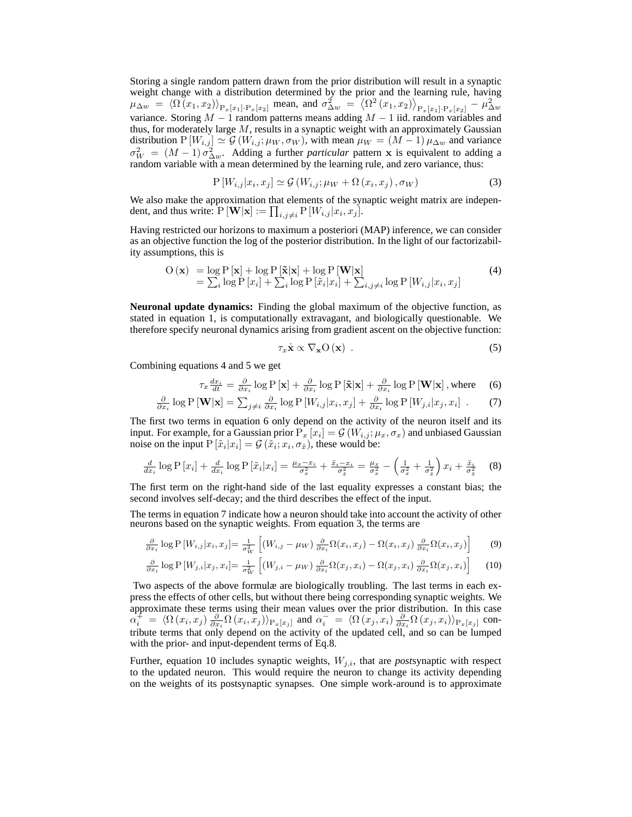Storing a single random pattern drawn from the prior distribution will result in a synaptic weight change with a distribution determined by the prior and the learning rule, having  $\mu_{\Delta w} = \langle \Omega (x_1, x_2) \rangle_{P_x[x_1] \cdot P_x[x_2]}$  mean, and  $\sigma_{\Delta w}^2 = \langle \Omega^2 (x_1, x_2) \rangle_{P_x[x_1] \cdot P_x[x_2]} - \mu_{\Delta w}^2$ variance. Storing  $M-1$  random patterns means adding  $M-1$  iid. random variables and thus, for moderately large  $M$ , results in a synaptic weight with an approximately Gaussian distribution P  $[W_{i,j}] \simeq G(W_{i,j}; \mu_W, \sigma_W)$ , with mean  $\mu_W = (M-1) \mu_{\Delta w}$  and variance  $\sigma_W^2 = (M-1)\sigma_{\Delta w}^2$ . Adding a further *particular* pattern x is equivalent to adding a random variable with a mean determined by the learning rule, and zero variance, thus:

$$
P\left[W_{i,j}|x_i, x_j\right] \simeq \mathcal{G}\left(W_{i,j}; \mu_W + \Omega\left(x_i, x_j\right), \sigma_W\right) \tag{3}
$$

We also make the approximation that elements of the synaptic weight matrix are independent, and thus write:  $P[\mathbf{W}|\mathbf{x}] := \prod_{i,j \neq i} P[W_{i,j}|x_i, x_j].$ 

Having restricted our horizons to maximum a posteriori (MAP) inference, we can consider as an objective function the log of the posterior distribution. In the light of our factorizability assumptions, this is

$$
O(\mathbf{x}) = \log P[\mathbf{x}] + \log P[\mathbf{\tilde{x}}|\mathbf{x}] + \log P[\mathbf{W}|\mathbf{x}]
$$
  
=  $\sum_{i} \log P[x_i] + \sum_{i} \log P[\tilde{x}_i|x_i] + \sum_{i,j \neq i} \log P[W_{i,j}|x_i, x_j]$  (4)

**Neuronal update dynamics:** Finding the global maximum of the objective function, as stated in equation 1, is computationally extravagant, and biologically questionable. We therefore specify neuronal dynamics arising from gradient ascent on the objective function:

$$
\tau_x \dot{\mathbf{x}} \propto \nabla_{\mathbf{x}} \mathcal{O}(\mathbf{x}) \tag{5}
$$

Combining equations 4 and 5 we get

$$
\tau_x \frac{dx_i}{dt} = \frac{\partial}{\partial x_i} \log P[\mathbf{x}] + \frac{\partial}{\partial x_i} \log P[\tilde{\mathbf{x}}|\mathbf{x}] + \frac{\partial}{\partial x_i} \log P[\mathbf{W}|\mathbf{x}], \text{where} \quad (6)
$$

$$
\frac{\partial}{\partial x_i} \log P[\mathbf{W}|\mathbf{x}] = \sum_{j \neq i} \frac{\partial}{\partial x_i} \log P[W_{i,j}|x_i, x_j] + \frac{\partial}{\partial x_i} \log P[W_{j,i}|x_j, x_i] . \tag{7}
$$

The first two terms in equation 6 only depend on the activity of the neuron itself and its input. For example, for a Gaussian prior  ${\rm P}_x\left[x_i\right]=\mathcal{G}\left(W_{i,j};\mu_x,\sigma_x\right)$  and unbiased Gaussian noise on the input  $P[\tilde{x}_i|x_i] = \mathcal{G}(\tilde{x}_i; x_i, \sigma_{\tilde{x}})$ , these would be:

$$
\frac{d}{dx_i}\log P\left[x_i\right] + \frac{d}{dx_i}\log P\left[\tilde{x}_i|x_i\right] = \frac{\mu_x - x_i}{\sigma_x^2} + \frac{\tilde{x}_i - x_i}{\sigma_x^2} = \frac{\mu_x}{\sigma_x^2} - \left(\frac{1}{\sigma_x^2} + \frac{1}{\sigma_x^2}\right)x_i + \frac{\tilde{x}_i}{\sigma_x^2} \tag{8}
$$

The first term on the right-hand side of the last equality expresses a constant bias; the second involves self-decay; and the third describes the effect of the input.

The terms in equation 7 indicate how a neuron should take into account the activity of other neurons based on the synaptic weights. From equation 3, the terms are

$$
\frac{\partial}{\partial x_i} \log \mathbf{P} \left[ W_{i,j} | x_i, x_j \right] = \frac{1}{\sigma_W^2} \left[ \left( W_{i,j} - \mu_W \right) \frac{\partial}{\partial x_i} \Omega(x_i, x_j) - \Omega(x_i, x_j) \frac{\partial}{\partial x_i} \Omega(x_i, x_j) \right] \tag{9}
$$

$$
\frac{\partial}{\partial x_i} \log \mathcal{P}\left[W_{j,i}|x_j, x_i\right] = \frac{1}{\sigma_W^2} \left[ \left(W_{j,i} - \mu_W\right) \frac{\partial}{\partial x_i} \Omega(x_j, x_i) - \Omega(x_j, x_i) \frac{\partial}{\partial x_i} \Omega(x_j, x_i) \right] \tag{10}
$$

Two aspects of the above formulæ are biologically troubling. The last terms in each express the effects of other cells, but without there being corresponding synaptic weights. We approximate these terms using their mean values over the prior distribution. In this case  $\alpha_i^{\pm} = \langle \Omega(x_i, x_j) \frac{\partial}{\partial x_i} \Omega(x_i, x_j) \rangle_{\text{P}_x[x_j]}$  and  $\alpha_i^- = \langle \Omega(x_j, x_i) \frac{\partial}{\partial x_i} \Omega(x_j, x_i) \rangle_{\text{P}_x[x_j]}$  contribute terms that only depend on the activity of the updated cell, and so can be lumped with the prior- and input-dependent terms of Eq.8.

Further, equation 10 includes synaptic weights,  $W_{j,i}$ , that are *post*synaptic with respect to the updated neuron. This would require the neuron to change its activity depending on the weights of its postsynaptic synapses. One simple work-around is to approximate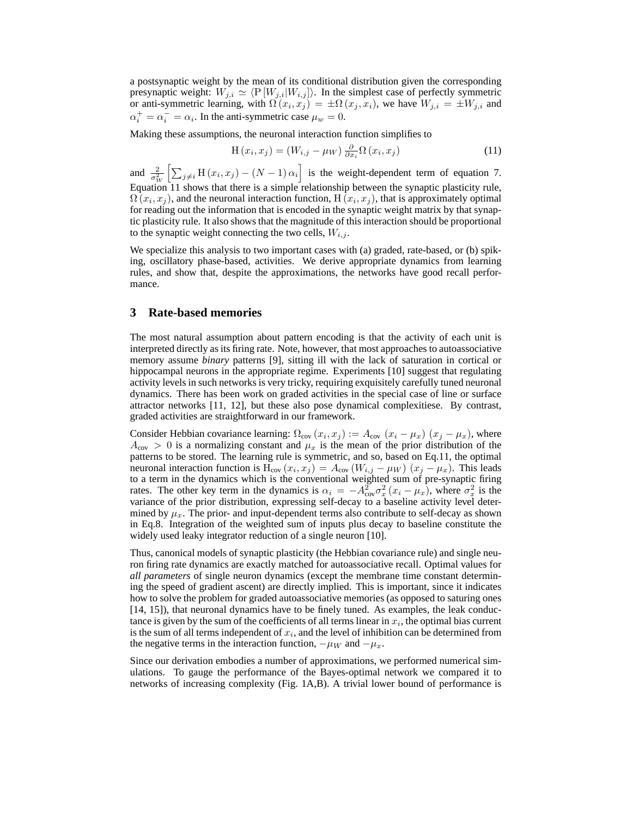a postsynaptic weight by the mean of its conditional distribution given the corresponding presynaptic weight:  $W_{j,i} \simeq \langle P [W_{j,i}|W_{i,j}]\rangle$ . In the simplest case of perfectly symmetric or anti-symmetric learning, with  $\Omega(x_i, x_j) = \pm \Omega(x_j, x_i)$ , we have  $W_{j,i} = \pm W_{j,i}$  and  $\alpha_i^+ = \alpha_i^- = \alpha_i$ . In the anti-symmetric case  $\mu_w = 0$ .

Making these assumptions, the neuronal interaction function simplifies to

$$
H(x_i, x_j) = (W_{i,j} - \mu_W) \frac{\partial}{\partial x_i} \Omega(x_i, x_j)
$$
\n(11)

and  $\frac{2}{\sigma_W^2} \left[ \sum_{j \neq i} H(x_i, x_j) - (N-1) \alpha_i \right]$  is the weight-dependent term of equation 7. Equation 11 shows that there is a simple relationship between the synaptic plasticity rule,  $\Omega\left(x_i,x_j\right)$ , and the neuronal interaction function,  $\mathrm{H}\left(x_i,x_j\right)$ , that is approximately optimal for reading out the information that is encoded in the synaptic weight matrix by that synaptic plasticity rule. It also shows that the magnitude of this interaction should be proportional to the synaptic weight connecting the two cells,  $W_{i,j}$ .

We specialize this analysis to two important cases with (a) graded, rate-based, or (b) spiking, oscillatory phase-based, activities. We derive appropriate dynamics from learning rules, and show that, despite the approximations, the networks have good recall performance.

#### **3 Rate-based memories**

The most natural assumption about pattern encoding is that the activity of each unit is interpreted directly as its firing rate. Note, however, that most approaches to autoassociative memory assume *binary* patterns [9], sitting ill with the lack of saturation in cortical or hippocampal neurons in the appropriate regime. Experiments [10] suggest that regulating activity levels in such networks is very tricky, requiring exquisitely carefully tuned neuronal dynamics. There has been work on graded activities in the special case of line or surface attractor networks [11, 12], but these also pose dynamical complexitiese. By contrast, graded activities are straightforward in our framework.

Consider Hebbian covariance learning:  $\Omega_{\text{cov}}(x_i, x_j) := A_{\text{cov}}(x_i - \mu_x)(x_j - \mu_x)$ , where  $A_{\rm cov} > 0$  is a normalizing constant and  $\mu_x$  is the mean of the prior distribution of the patterns to be stored. The learning rule is symmetric, and so, based on Eq.11, the optimal neuronal interaction function is  $H_{cov}(x_i, x_j) = A_{cov}(W_{i,j} - \mu_W)$   $(x_j - \mu_x)$ . This leads to a term in the dynamics which is the conventional weighted sum of pre-synaptic firing rates. The other key term in the dynamics is  $\alpha_i = -A_{\text{cov}}^2 \sigma_x^2 (x_i - \mu_x)$ , where  $\sigma_x^2$  is the variance of the prior distribution, expressing self-decay to a baseline activity level determined by  $\mu_x$ . The prior- and input-dependent terms also contribute to self-decay as shown in Eq.8. Integration of the weighted sum of inputs plus decay to baseline constitute the widely used leaky integrator reduction of a single neuron [10].

Thus, canonical models of synaptic plasticity (the Hebbian covariance rule) and single neuron firing rate dynamics are exactly matched for autoassociative recall. Optimal values for *all parameters* of single neuron dynamics (except the membrane time constant determining the speed of gradient ascent) are directly implied. This is important, since it indicates how to solve the problem for graded autoassociative memories (as opposed to saturing ones [14, 15]), that neuronal dynamics have to be finely tuned. As examples, the leak conductance is given by the sum of the coefficients of all terms linear in  $x_i$ , the optimal bias current is the sum of all terms independent of  $x_i$ , and the level of inhibition can be determined from the negative terms in the interaction function,  $-\mu_W$  and  $-\mu_x$ .

Since our derivation embodies a number of approximations, we performed numerical simulations. To gauge the performance of the Bayes-optimal network we compared it to networks of increasing complexity (Fig. 1A,B). A trivial lower bound of performance is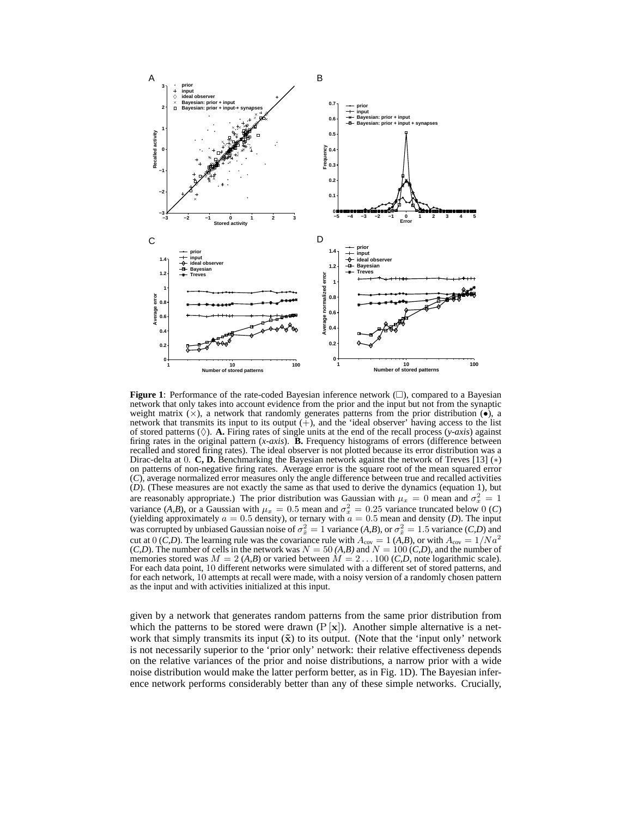

**Figure 1**: Performance of the rate-coded Bayesian inference network  $(\square)$ , compared to a Bayesian network that only takes into account evidence from the prior and the input but not from the synaptic weight matrix  $(x)$ , a network that randomly generates patterns from the prior distribution  $(\bullet)$ , a network that transmits its input to its output  $(+)$ , and the 'ideal observer' having access to the list of stored patterns  $(\Diamond)$ . **A.** Firing rates of single units at the end of the recall process  $(y-axis)$  against firing rates in the original pattern (*x-axis*). **B.** Frequency histograms of errors (difference between recalled and stored firing rates). The ideal observer is not plotted because its error distribution was a Dirac-delta at 0. **C, D.** Benchmarking the Bayesian network against the network of Treves [13] (∗) on patterns of non-negative firing rates. Average error is the square root of the mean squared error (*C*), average normalized error measures only the angle difference between true and recalled activities (*D*). (These measures are not exactly the same as that used to derive the dynamics (equation 1), but are reasonably appropriate.) The prior distribution was Gaussian with  $\mu_x = 0$  mean and  $\sigma_x^2 = 1$ variance (*A,B*), or a Gaussian with  $\mu_x = 0.5$  mean and  $\sigma_x^2 = 0.25$  variance truncated below 0 (*C*) (yielding approximately  $a = 0.5$  density), or ternary with  $a = 0.5$  mean and density (*D*). The input was corrupted by unbiased Gaussian noise of  $\sigma_{\tilde{x}}^2 = 1$  variance  $(A, B)$ , or  $\sigma_{\tilde{x}}^2 = 1.5$  variance  $(C, D)$  and cut at 0 (*C,D*). The learning rule was the covariance rule with  $A_{\text{cov}} = 1$  (*A,B*), or with  $A_{\text{cov}} = 1/Na^2$  $(C,D)$ . The number of cells in the network was  $N = 50$  (A,B) and  $N = 100$  (C,D), and the number of memories stored was  $M = 2$  (*A,B*) or varied between  $M = 2...100$  (*C,D*, note logarithmic scale). For each data point, 10 different networks were simulated with a different set of stored patterns, and for each network, 10 attempts at recall were made, with a noisy version of a randomly chosen pattern as the input and with activities initialized at this input.

given by a network that generates random patterns from the same prior distribution from which the patterns to be stored were drawn  $(P[x])$ . Another simple alternative is a network that simply transmits its input  $(\tilde{x})$  to its output. (Note that the 'input only' network is not necessarily superior to the 'prior only' network: their relative effectiveness depends on the relative variances of the prior and noise distributions, a narrow prior with a wide noise distribution would make the latter perform better, as in Fig. 1D). The Bayesian inference network performs considerably better than any of these simple networks. Crucially,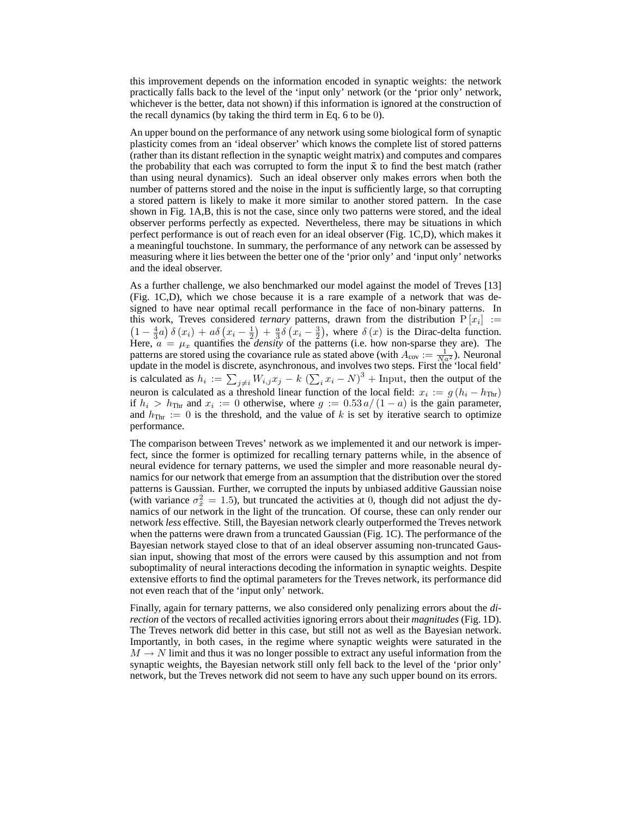this improvement depends on the information encoded in synaptic weights: the network practically falls back to the level of the 'input only' network (or the 'prior only' network, whichever is the better, data not shown) if this information is ignored at the construction of the recall dynamics (by taking the third term in Eq. 6 to be 0).

An upper bound on the performance of any network using some biological form of synaptic plasticity comes from an 'ideal observer' which knows the complete list of stored patterns (rather than its distant reflection in the synaptic weight matrix) and computes and compares the probability that each was corrupted to form the input  $\tilde{\mathbf{x}}$  to find the best match (rather than using neural dynamics). Such an ideal observer only makes errors when both the number of patterns stored and the noise in the input is sufficiently large, so that corrupting a stored pattern is likely to make it more similar to another stored pattern. In the case shown in Fig. 1A,B, this is not the case, since only two patterns were stored, and the ideal observer performs perfectly as expected. Nevertheless, there may be situations in which perfect performance is out of reach even for an ideal observer (Fig. 1C,D), which makes it a meaningful touchstone. In summary, the performance of any network can be assessed by measuring where it lies between the better one of the 'prior only' and 'input only' networks and the ideal observer.

As a further challenge, we also benchmarked our model against the model of Treves [13] (Fig. 1C,D), which we chose because it is a rare example of a network that was designed to have near optimal recall performance in the face of non-binary patterns. In this work, Treves considered *ternary* patterns, drawn from the distribution  $P[x_i] :=$  $\left(1 - \frac{4}{3}a\right)\delta\left(x_i\right) + a\delta\left(x_i - \frac{1}{2}\right) + \frac{a}{3}\delta\left(x_i - \frac{3}{2}\right)$ , where  $\delta\left(x\right)$  is the Dirac-delta function. Here,  $a = \mu_x$  quantifies the *density* of the patterns (i.e. how non-sparse they are). The patterns are stored using the covariance rule as stated above (with  $A_{\text{cov}} := \frac{1}{N a^2}$ ). Neuronal update in the model is discrete, asynchronous, and involves two steps. First the 'local field' is calculated as  $h_i := \sum_{j \neq i} W_{i,j} x_j - k \left( \sum_i x_i - N \right)^3 + \text{Input}$ , then the output of the neuron is calculated as a threshold linear function of the local field:  $x_i := g(h_i - h_{\text{Thr}})$ if  $h_i > h_{\text{Thr}}$  and  $x_i := 0$  otherwise, where  $g := 0.53 a/(1 - a)$  is the gain parameter, and  $h_{\text{Thr}} := 0$  is the threshold, and the value of k is set by iterative search to optimize performance.

The comparison between Treves' network as we implemented it and our network is imperfect, since the former is optimized for recalling ternary patterns while, in the absence of neural evidence for ternary patterns, we used the simpler and more reasonable neural dynamics for our network that emerge from an assumption that the distribution over the stored patterns is Gaussian. Further, we corrupted the inputs by unbiased additive Gaussian noise (with variance  $\sigma_{\tilde{x}}^2 = 1.5$ ), but truncated the activities at 0, though did not adjust the dynamics of our network in the light of the truncation. Of course, these can only render our network *less* effective. Still, the Bayesian network clearly outperformed the Treves network when the patterns were drawn from a truncated Gaussian (Fig. 1C). The performance of the Bayesian network stayed close to that of an ideal observer assuming non-truncated Gaussian input, showing that most of the errors were caused by this assumption and not from suboptimality of neural interactions decoding the information in synaptic weights. Despite extensive efforts to find the optimal parameters for the Treves network, its performance did not even reach that of the 'input only' network.

Finally, again for ternary patterns, we also considered only penalizing errors about the *direction* of the vectors of recalled activities ignoring errors about their *magnitudes* (Fig. 1D). The Treves network did better in this case, but still not as well as the Bayesian network. Importantly, in both cases, in the regime where synaptic weights were saturated in the  $M \to N$  limit and thus it was no longer possible to extract any useful information from the synaptic weights, the Bayesian network still only fell back to the level of the 'prior only' network, but the Treves network did not seem to have any such upper bound on its errors.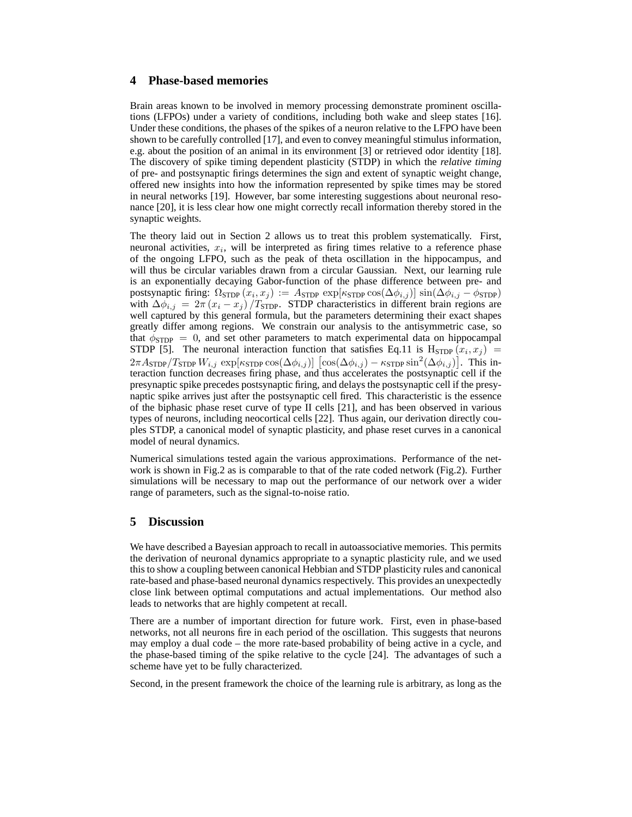# **4 Phase-based memories**

Brain areas known to be involved in memory processing demonstrate prominent oscillations (LFPOs) under a variety of conditions, including both wake and sleep states [16]. Under these conditions, the phases of the spikes of a neuron relative to the LFPO have been shown to be carefully controlled [17], and even to convey meaningful stimulus information, e.g. about the position of an animal in its environment [3] or retrieved odor identity [18]. The discovery of spike timing dependent plasticity (STDP) in which the *relative timing* of pre- and postsynaptic firings determines the sign and extent of synaptic weight change, offered new insights into how the information represented by spike times may be stored in neural networks [19]. However, bar some interesting suggestions about neuronal resonance [20], it is less clear how one might correctly recall information thereby stored in the synaptic weights.

The theory laid out in Section 2 allows us to treat this problem systematically. First, neuronal activities,  $x_i$ , will be interpreted as firing times relative to a reference phase of the ongoing LFPO, such as the peak of theta oscillation in the hippocampus, and will thus be circular variables drawn from a circular Gaussian. Next, our learning rule is an exponentially decaying Gabor-function of the phase difference between pre- and postsynaptic firing:  $\Omega_{\text{STDP}}(x_i, x_j) := A_{\text{STDP}} \exp[\kappa_{\text{STDP}} \cos(\Delta \phi_{i,j})] \sin(\Delta \phi_{i,j} - \phi_{\text{STDP}})$ with  $\Delta \phi_{i,j} = 2\pi (x_i - x_j) / T_{\text{STDP}}$ . STDP characteristics in different brain regions are well captured by this general formula, but the parameters determining their exact shapes greatly differ among regions. We constrain our analysis to the antisymmetric case, so that  $\phi_{\text{STDP}} = 0$ , and set other parameters to match experimental data on hippocampal STDP [5]. The neuronal interaction function that satisfies Eq.11 is  $H_{\text{STDP}}(x_i, x_j)$  =  $2\pi A_{\text{STDP}}/T_{\text{STDP}} W_{i,j} \exp[\kappa_{\text{STDP}}\cos(\Delta\phi_{i,j})] \left[\cos(\Delta\phi_{i,j}) - \kappa_{\text{STDP}}\sin^2(\Delta\phi_{i,j})\right]$ . This interaction function decreases firing phase, and thus accelerates the postsynaptic cell if the presynaptic spike precedes postsynaptic firing, and delays the postsynaptic cell if the presynaptic spike arrives just after the postsynaptic cell fired. This characteristic is the essence of the biphasic phase reset curve of type II cells [21], and has been observed in various types of neurons, including neocortical cells [22]. Thus again, our derivation directly couples STDP, a canonical model of synaptic plasticity, and phase reset curves in a canonical model of neural dynamics.

Numerical simulations tested again the various approximations. Performance of the network is shown in Fig.2 as is comparable to that of the rate coded network (Fig.2). Further simulations will be necessary to map out the performance of our network over a wider range of parameters, such as the signal-to-noise ratio.

# **5 Discussion**

We have described a Bayesian approach to recall in autoassociative memories. This permits the derivation of neuronal dynamics appropriate to a synaptic plasticity rule, and we used this to show a coupling between canonical Hebbian and STDP plasticity rules and canonical rate-based and phase-based neuronal dynamics respectively. This provides an unexpectedly close link between optimal computations and actual implementations. Our method also leads to networks that are highly competent at recall.

There are a number of important direction for future work. First, even in phase-based networks, not all neurons fire in each period of the oscillation. This suggests that neurons may employ a dual code – the more rate-based probability of being active in a cycle, and the phase-based timing of the spike relative to the cycle [24]. The advantages of such a scheme have yet to be fully characterized.

Second, in the present framework the choice of the learning rule is arbitrary, as long as the